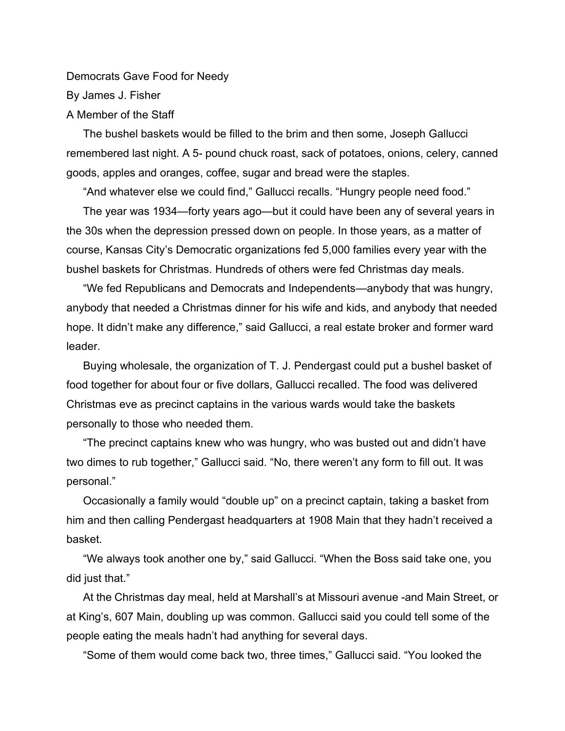Democrats Gave Food for Needy By James J. Fisher A Member of the Staff

The bushel baskets would be filled to the brim and then some, Joseph Gallucci remembered last night. A 5- pound chuck roast, sack of potatoes, onions, celery, canned goods, apples and oranges, coffee, sugar and bread were the staples.

"And whatever else we could find," Gallucci recalls. "Hungry people need food."

The year was 1934—forty years ago—but it could have been any of several years in the 30s when the depression pressed down on people. In those years, as a matter of course, Kansas City's Democratic organizations fed 5,000 families every year with the bushel baskets for Christmas. Hundreds of others were fed Christmas day meals.

"We fed Republicans and Democrats and Independents—anybody that was hungry, anybody that needed a Christmas dinner for his wife and kids, and anybody that needed hope. It didn't make any difference," said Gallucci, a real estate broker and former ward leader.

Buying wholesale, the organization of T. J. Pendergast could put a bushel basket of food together for about four or five dollars, Gallucci recalled. The food was delivered Christmas eve as precinct captains in the various wards would take the baskets personally to those who needed them.

"The precinct captains knew who was hungry, who was busted out and didn't have two dimes to rub together," Gallucci said. "No, there weren't any form to fill out. It was personal."

Occasionally a family would "double up" on a precinct captain, taking a basket from him and then calling Pendergast headquarters at 1908 Main that they hadn't received a basket.

"We always took another one by," said Gallucci. "When the Boss said take one, you did just that."

At the Christmas day meal, held at Marshall's at Missouri avenue -and Main Street, or at King's, 607 Main, doubling up was common. Gallucci said you could tell some of the people eating the meals hadn't had anything for several days.

"Some of them would come back two, three times," Gallucci said. "You looked the